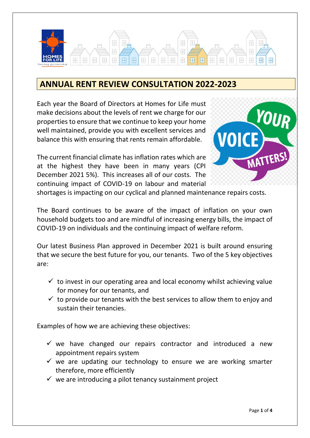

# **ANNUAL RENT REVIEW CONSULTATION 2022-2023**

Each year the Board of Directors at Homes for Life must make decisions about the levels of rent we charge for our properties to ensure that we continue to keep your home well maintained, provide you with excellent services and balance this with ensuring that rents remain affordable.

The current financial climate has inflation rates which are at the highest they have been in many years (CPI December 2021 5%). This increases all of our costs. The continuing impact of COVID-19 on labour and material



shortages is impacting on our cyclical and planned maintenance repairs costs.

The Board continues to be aware of the impact of inflation on your own household budgets too and are mindful of increasing energy bills, the impact of COVID-19 on individuals and the continuing impact of welfare reform.

Our latest Business Plan approved in December 2021 is built around ensuring that we secure the best future for you, our tenants. Two of the 5 key objectives are:

- $\checkmark$  to invest in our operating area and local economy whilst achieving value for money for our tenants, and
- $\checkmark$  to provide our tenants with the best services to allow them to enjoy and sustain their tenancies.

Examples of how we are achieving these objectives:

- $\checkmark$  we have changed our repairs contractor and introduced a new appointment repairs system
- $\checkmark$  we are updating our technology to ensure we are working smarter therefore, more efficiently
- $\checkmark$  we are introducing a pilot tenancy sustainment project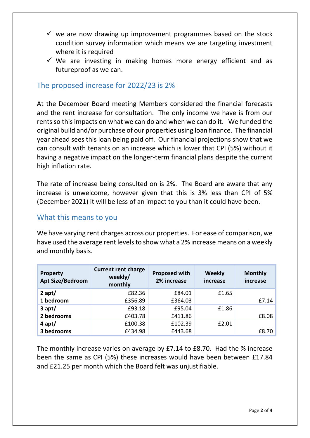- $\checkmark$  we are now drawing up improvement programmes based on the stock condition survey information which means we are targeting investment where it is required
- $\checkmark$  We are investing in making homes more energy efficient and as futureproof as we can.

### The proposed increase for 2022/23 is 2%

At the December Board meeting Members considered the financial forecasts and the rent increase for consultation. The only income we have is from our rents so this impacts on what we can do and when we can do it. We funded the original build and/or purchase of our properties using loan finance. The financial year ahead sees this loan being paid off. Our financial projections show that we can consult with tenants on an increase which is lower that CPI (5%) without it having a negative impact on the longer-term financial plans despite the current high inflation rate.

The rate of increase being consulted on is 2%. The Board are aware that any increase is unwelcome, however given that this is 3% less than CPI of 5% (December 2021) it will be less of an impact to you than it could have been.

### What this means to you

We have varying rent charges across our properties. For ease of comparison, we have used the average rent levels to show what a 2% increase means on a weekly and monthly basis.

| <b>Property</b><br><b>Apt Size/Bedroom</b> | <b>Current rent charge</b><br>weekly/<br>monthly | <b>Proposed with</b><br>2% increase | Weekly<br>increase | <b>Monthly</b><br>increase |
|--------------------------------------------|--------------------------------------------------|-------------------------------------|--------------------|----------------------------|
| 2 apt/                                     | £82.36                                           | £84.01                              | £1.65              |                            |
| 1 bedroom                                  | £356.89                                          | £364.03                             |                    | £7.14                      |
| $3$ apt/                                   | £93.18                                           | £95.04                              | £1.86              |                            |
| 2 bedrooms                                 | £403.78                                          | £411.86                             |                    | £8.08                      |
| $4$ apt/                                   | £100.38                                          | £102.39                             | £2.01              |                            |
| 3 bedrooms                                 | £434.98                                          | £443.68                             |                    | £8.70                      |

The monthly increase varies on average by £7.14 to £8.70. Had the % increase been the same as CPI (5%) these increases would have been between £17.84 and £21.25 per month which the Board felt was unjustifiable.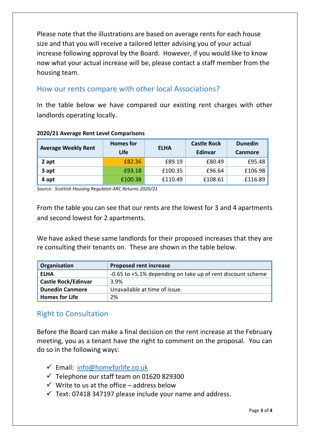Please note that the illustrations are based on average rents for each house size and that you will receive a tailored letter advising you of your actual increase following approval by the Board. However, if you would like to know now what your actual increase will be, please contact a staff member from the housing team.

# How our rents compare with other local Associations?

In the table below we have compared our existing rent charges with other landlords operating locally.

| <b>Average Weekly Rent</b> | <b>Homes</b> for<br>Life | <b>ELHA</b> | <b>Castle Rock</b><br>Edinvar | <b>Dunedin</b><br><b>Canmore</b> |
|----------------------------|--------------------------|-------------|-------------------------------|----------------------------------|
| 2 apt                      | £82.36                   | £89.19      | £80.49                        | £95.48                           |
| 3 apt                      | £93.18                   | £100.35     | £96.64                        | £106.98                          |
| 4 apt                      | £100.38                  | £110.49     | £108.61                       | £116.89                          |

#### **2020/21 Average Rent Level Comparisons**

*Source: Scottish Housing Regulator ARC Returns 2020/21*

From the table you can see that our rents are the lowest for 3 and 4 apartments and second lowest for 2 apartments.

We have asked these same landlords for their proposed increases that they are re consulting their tenants on. These are shown in the table below.

| Organisation               | <b>Proposed rent increase</b>                               |
|----------------------------|-------------------------------------------------------------|
| <b>ELHA</b>                | -0.65 to +5.1% depending on take up of rent discount scheme |
| <b>Castle Rock/Edinvar</b> | 3.9%                                                        |
| <b>Dunedin Canmore</b>     | Unavailable at time of issue.                               |
| <b>Homes for Life</b>      | 2%                                                          |

## Right to Consultation

Before the Board can make a final decision on the rent increase at the February meeting, you as a tenant have the right to comment on the proposal. You can do so in the following ways:

- ✓ Email: [info@homeforlife.co.uk](mailto:info@homeforlife.co.uk)
- $\checkmark$  Telephone our staff team on 01620 829300
- $\checkmark$  Write to us at the office address below
- $\checkmark$  Text: 07418 347197 please include your name and address.